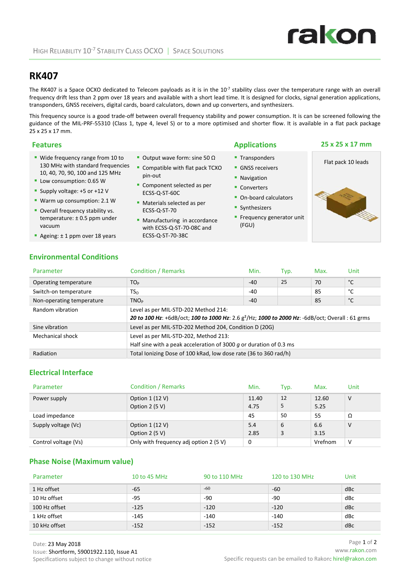# **RK407**

The RK407 is a Space OCXO dedicated to Telecom payloads as it is in the  $10<sup>-7</sup>$  stability class over the temperature range with an overall frequency drift less than 2 ppm over 18 years and available with a short lead time. It is designed for clocks, signal generation applications, transponders, GNSS receivers, digital cards, board calculators, down and up converters, and synthesizers.

This frequency source is a good trade‐off between overall frequency stability and power consumption. It is can be screened following the guidance of the MIL‐PRF‐55310 (Class 1, type 4, level S) or to a more optimised and shorter flow. It is available in a flat pack package 25 x 25 x 17 mm.

| <b>Features</b>                                                                                            |                                                                              | <b>Applications</b>                                    | 25 x 25 x 17 mm    |
|------------------------------------------------------------------------------------------------------------|------------------------------------------------------------------------------|--------------------------------------------------------|--------------------|
| ■ Wide frequency range from 10 to<br>130 MHz with standard frequencies<br>10, 40, 70, 90, 100 and 125 MHz  | Output wave form: sine 50 $\Omega$<br>Compatible with flat pack TCXO         | ■ Transponders<br>• GNSS receivers                     | Flat pack 10 leads |
| Low consumption: 0.65 W<br>Supply voltage: +5 or +12 V                                                     | pin-out<br>• Component selected as per<br>ECSS-Q-ST-60C                      | • Navigation<br>• Converters<br>• On-board calculators |                    |
| <b>Warm up consumption: 2.1 W</b><br>• Overall frequency stability vs.<br>temperature: $\pm$ 0.5 ppm under | • Materials selected as per<br>ECSS-Q-ST-70<br>• Manufacturing in accordance | • Synthesizers<br><b>Frequency generator unit</b>      |                    |

with ECSS‐Q‐ST‐70‐08C and

ECSS‐Q‐ST‐70‐38C

**Environmental Conditions**

Ageing: ±1 ppm over 18 years

vacuum

| Parameter                 | <b>Condition / Remarks</b>                                                                                                                           | Min.  | Typ. | Max. | Unit |
|---------------------------|------------------------------------------------------------------------------------------------------------------------------------------------------|-------|------|------|------|
| Operating temperature     | TO <sub>P</sub>                                                                                                                                      | $-40$ | 25   | 70   | °C   |
| Switch-on temperature     | $TS_{\rm O}$                                                                                                                                         | $-40$ |      | 85   | °C   |
| Non-operating temperature | TNO <sub>p</sub>                                                                                                                                     | $-40$ |      | 85   | °С   |
| Random vibration          | Level as per MIL-STD-202 Method 214:<br>20 to 100 Hz: +6dB/oct; 100 to 1000 Hz: 2.6 g <sup>2</sup> /Hz; 1000 to 2000 Hz: -6dB/oct; Overall : 61 grms |       |      |      |      |
| Sine vibration            | Level as per MIL-STD-202 Method 204, Condition D (20G)                                                                                               |       |      |      |      |
| Mechanical shock          | Level as per MIL-STD-202, Method 213:<br>Half sine with a peak acceleration of 3000 $g$ or duration of 0.3 ms                                        |       |      |      |      |
| Radiation                 | Total Ionizing Dose of 100 kRad, low dose rate (36 to 360 rad/h)                                                                                     |       |      |      |      |

## **Electrical Interface**

| Parameter            | <b>Condition / Remarks</b>             | Min.  | Typ. | Max.    | Unit   |
|----------------------|----------------------------------------|-------|------|---------|--------|
| Power supply         | Option $1(12 V)$                       | 11.40 | 12   | 12.60   | $\vee$ |
|                      | Option $2(5 V)$                        | 4.75  | 5    | 5.25    |        |
| Load impedance       |                                        | 45    | 50   | 55      | Ω      |
| Supply voltage (Vc)  | Option $1(12V)$                        | 5.4   | 6    | 6.6     | V      |
|                      | Option $2(5 V)$                        | 2.85  | 3    | 3.15    |        |
| Control voltage (Vs) | Only with frequency adj option 2 (5 V) | 0     |      | Vrefnom | V      |

## **Phase Noise (Maximum value)**

| Parameter     | 10 to 45 MHz | 90 to 110 MHz | 120 to 130 MHz | Unit |
|---------------|--------------|---------------|----------------|------|
| 1 Hz offset   | $-65$        | $-60$         | -60            | dBc  |
| 10 Hz offset  | -95          | -90           | $-90$          | dBc  |
| 100 Hz offset | $-125$       | $-120$        | $-120$         | dBc  |
| 1 kHz offset  | $-145$       | $-140$        | $-140$         | dBc  |
| 10 kHz offset | $-152$       | $-152$        | $-152$         | dBc  |

rakon

 Frequency generator unit (FGU)